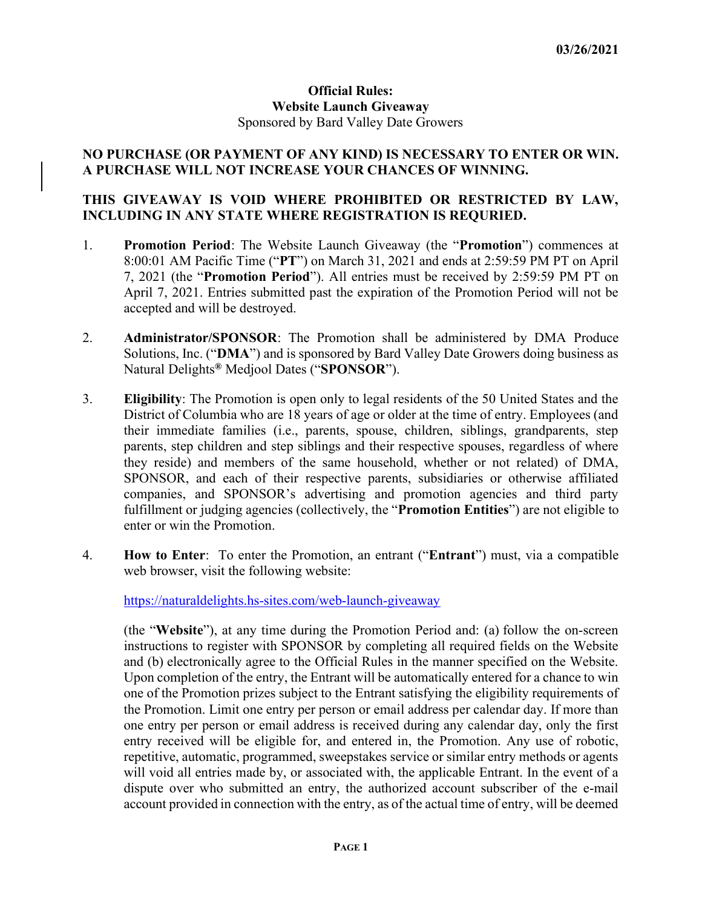## Official Rules: Website Launch Giveaway Sponsored by Bard Valley Date Growers

## NO PURCHASE (OR PAYMENT OF ANY KIND) IS NECESSARY TO ENTER OR WIN. A PURCHASE WILL NOT INCREASE YOUR CHANCES OF WINNING.

## THIS GIVEAWAY IS VOID WHERE PROHIBITED OR RESTRICTED BY LAW, INCLUDING IN ANY STATE WHERE REGISTRATION IS REQURIED.

- 1. Promotion Period: The Website Launch Giveaway (the "Promotion") commences at 8:00:01 AM Pacific Time ("PT") on March 31, 2021 and ends at 2:59:59 PM PT on April 7, 2021 (the "Promotion Period"). All entries must be received by 2:59:59 PM PT on April 7, 2021. Entries submitted past the expiration of the Promotion Period will not be accepted and will be destroyed.
- 2. Administrator/SPONSOR: The Promotion shall be administered by DMA Produce Solutions, Inc. ("DMA") and is sponsored by Bard Valley Date Growers doing business as Natural Delights<sup>®</sup> Medjool Dates ("**SPONSOR**").
- 3. Eligibility: The Promotion is open only to legal residents of the 50 United States and the District of Columbia who are 18 years of age or older at the time of entry. Employees (and their immediate families (i.e., parents, spouse, children, siblings, grandparents, step parents, step children and step siblings and their respective spouses, regardless of where they reside) and members of the same household, whether or not related) of DMA, SPONSOR, and each of their respective parents, subsidiaries or otherwise affiliated companies, and SPONSOR's advertising and promotion agencies and third party fulfillment or judging agencies (collectively, the "Promotion Entities") are not eligible to enter or win the Promotion.
- 4. How to Enter: To enter the Promotion, an entrant ("Entrant") must, via a compatible web browser, visit the following website:

https://naturaldelights.hs-sites.com/web-launch-giveaway

(the "Website"), at any time during the Promotion Period and: (a) follow the on-screen instructions to register with SPONSOR by completing all required fields on the Website and (b) electronically agree to the Official Rules in the manner specified on the Website. Upon completion of the entry, the Entrant will be automatically entered for a chance to win one of the Promotion prizes subject to the Entrant satisfying the eligibility requirements of the Promotion. Limit one entry per person or email address per calendar day. If more than one entry per person or email address is received during any calendar day, only the first entry received will be eligible for, and entered in, the Promotion. Any use of robotic, repetitive, automatic, programmed, sweepstakes service or similar entry methods or agents will void all entries made by, or associated with, the applicable Entrant. In the event of a dispute over who submitted an entry, the authorized account subscriber of the e-mail account provided in connection with the entry, as of the actual time of entry, will be deemed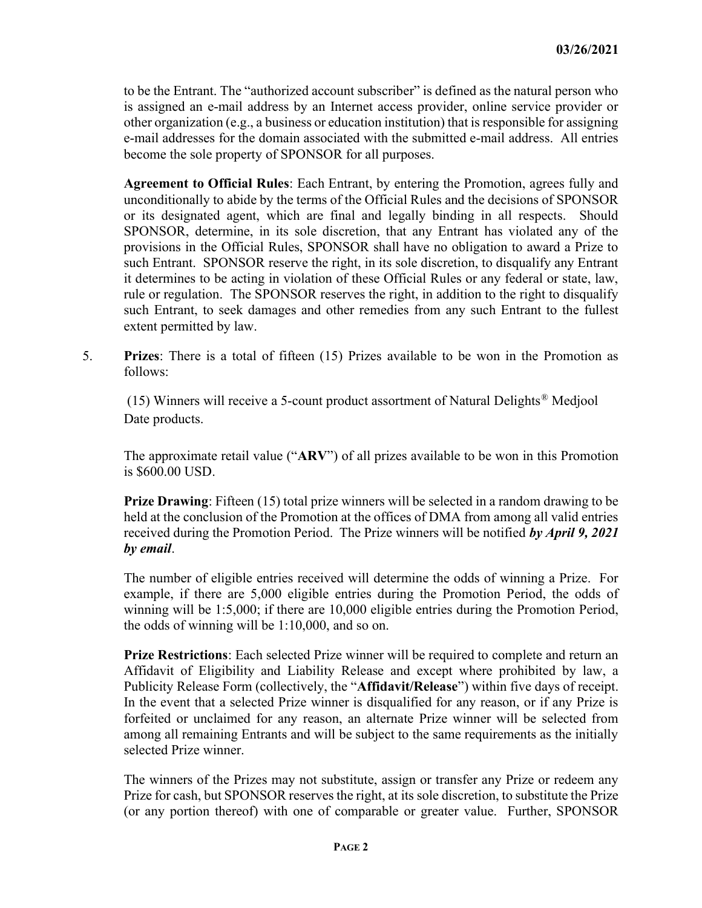to be the Entrant. The "authorized account subscriber" is defined as the natural person who is assigned an e-mail address by an Internet access provider, online service provider or other organization (e.g., a business or education institution) that is responsible for assigning e-mail addresses for the domain associated with the submitted e-mail address. All entries become the sole property of SPONSOR for all purposes.

Agreement to Official Rules: Each Entrant, by entering the Promotion, agrees fully and unconditionally to abide by the terms of the Official Rules and the decisions of SPONSOR or its designated agent, which are final and legally binding in all respects. Should SPONSOR, determine, in its sole discretion, that any Entrant has violated any of the provisions in the Official Rules, SPONSOR shall have no obligation to award a Prize to such Entrant. SPONSOR reserve the right, in its sole discretion, to disqualify any Entrant it determines to be acting in violation of these Official Rules or any federal or state, law, rule or regulation. The SPONSOR reserves the right, in addition to the right to disqualify such Entrant, to seek damages and other remedies from any such Entrant to the fullest extent permitted by law.

5. Prizes: There is a total of fifteen (15) Prizes available to be won in the Promotion as follows:

 (15) Winners will receive a 5-count product assortment of Natural Delights® Medjool Date products.

The approximate retail value ("ARV") of all prizes available to be won in this Promotion is \$600.00 USD.

Prize Drawing: Fifteen (15) total prize winners will be selected in a random drawing to be held at the conclusion of the Promotion at the offices of DMA from among all valid entries received during the Promotion Period. The Prize winners will be notified by April 9, 2021 by email.

The number of eligible entries received will determine the odds of winning a Prize. For example, if there are 5,000 eligible entries during the Promotion Period, the odds of winning will be 1:5,000; if there are 10,000 eligible entries during the Promotion Period, the odds of winning will be 1:10,000, and so on.

Prize Restrictions: Each selected Prize winner will be required to complete and return an Affidavit of Eligibility and Liability Release and except where prohibited by law, a Publicity Release Form (collectively, the "Affidavit/Release") within five days of receipt. In the event that a selected Prize winner is disqualified for any reason, or if any Prize is forfeited or unclaimed for any reason, an alternate Prize winner will be selected from among all remaining Entrants and will be subject to the same requirements as the initially selected Prize winner.

The winners of the Prizes may not substitute, assign or transfer any Prize or redeem any Prize for cash, but SPONSOR reserves the right, at its sole discretion, to substitute the Prize (or any portion thereof) with one of comparable or greater value. Further, SPONSOR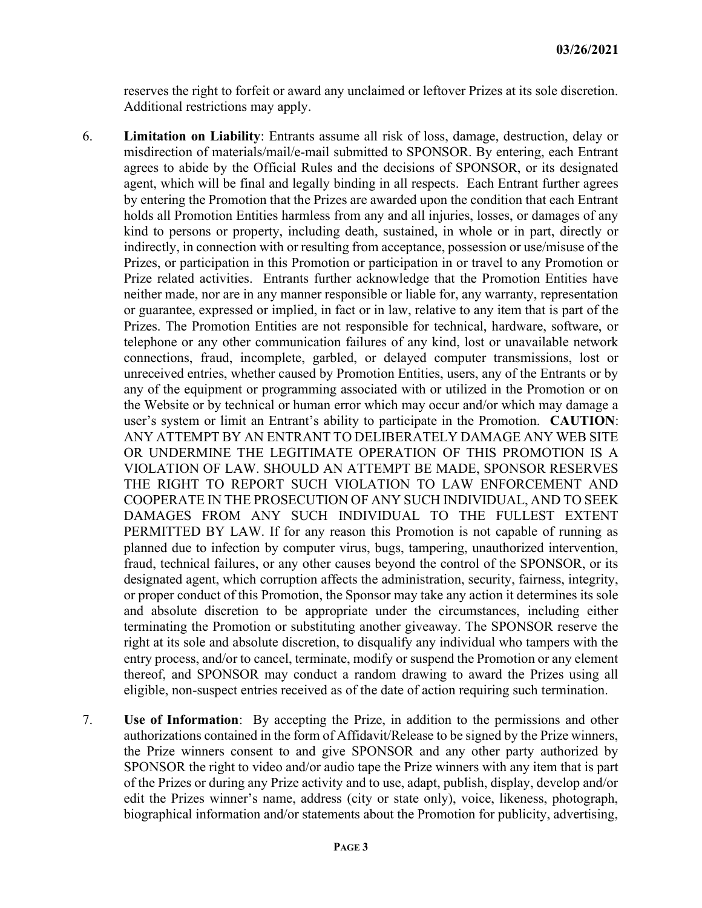reserves the right to forfeit or award any unclaimed or leftover Prizes at its sole discretion. Additional restrictions may apply.

- 6. Limitation on Liability: Entrants assume all risk of loss, damage, destruction, delay or misdirection of materials/mail/e-mail submitted to SPONSOR. By entering, each Entrant agrees to abide by the Official Rules and the decisions of SPONSOR, or its designated agent, which will be final and legally binding in all respects. Each Entrant further agrees by entering the Promotion that the Prizes are awarded upon the condition that each Entrant holds all Promotion Entities harmless from any and all injuries, losses, or damages of any kind to persons or property, including death, sustained, in whole or in part, directly or indirectly, in connection with or resulting from acceptance, possession or use/misuse of the Prizes, or participation in this Promotion or participation in or travel to any Promotion or Prize related activities. Entrants further acknowledge that the Promotion Entities have neither made, nor are in any manner responsible or liable for, any warranty, representation or guarantee, expressed or implied, in fact or in law, relative to any item that is part of the Prizes. The Promotion Entities are not responsible for technical, hardware, software, or telephone or any other communication failures of any kind, lost or unavailable network connections, fraud, incomplete, garbled, or delayed computer transmissions, lost or unreceived entries, whether caused by Promotion Entities, users, any of the Entrants or by any of the equipment or programming associated with or utilized in the Promotion or on the Website or by technical or human error which may occur and/or which may damage a user's system or limit an Entrant's ability to participate in the Promotion. CAUTION: ANY ATTEMPT BY AN ENTRANT TO DELIBERATELY DAMAGE ANY WEB SITE OR UNDERMINE THE LEGITIMATE OPERATION OF THIS PROMOTION IS A VIOLATION OF LAW. SHOULD AN ATTEMPT BE MADE, SPONSOR RESERVES THE RIGHT TO REPORT SUCH VIOLATION TO LAW ENFORCEMENT AND COOPERATE IN THE PROSECUTION OF ANY SUCH INDIVIDUAL, AND TO SEEK DAMAGES FROM ANY SUCH INDIVIDUAL TO THE FULLEST EXTENT PERMITTED BY LAW. If for any reason this Promotion is not capable of running as planned due to infection by computer virus, bugs, tampering, unauthorized intervention, fraud, technical failures, or any other causes beyond the control of the SPONSOR, or its designated agent, which corruption affects the administration, security, fairness, integrity, or proper conduct of this Promotion, the Sponsor may take any action it determines its sole and absolute discretion to be appropriate under the circumstances, including either terminating the Promotion or substituting another giveaway. The SPONSOR reserve the right at its sole and absolute discretion, to disqualify any individual who tampers with the entry process, and/or to cancel, terminate, modify or suspend the Promotion or any element thereof, and SPONSOR may conduct a random drawing to award the Prizes using all eligible, non-suspect entries received as of the date of action requiring such termination.
- 7. Use of Information: By accepting the Prize, in addition to the permissions and other authorizations contained in the form of Affidavit/Release to be signed by the Prize winners, the Prize winners consent to and give SPONSOR and any other party authorized by SPONSOR the right to video and/or audio tape the Prize winners with any item that is part of the Prizes or during any Prize activity and to use, adapt, publish, display, develop and/or edit the Prizes winner's name, address (city or state only), voice, likeness, photograph, biographical information and/or statements about the Promotion for publicity, advertising,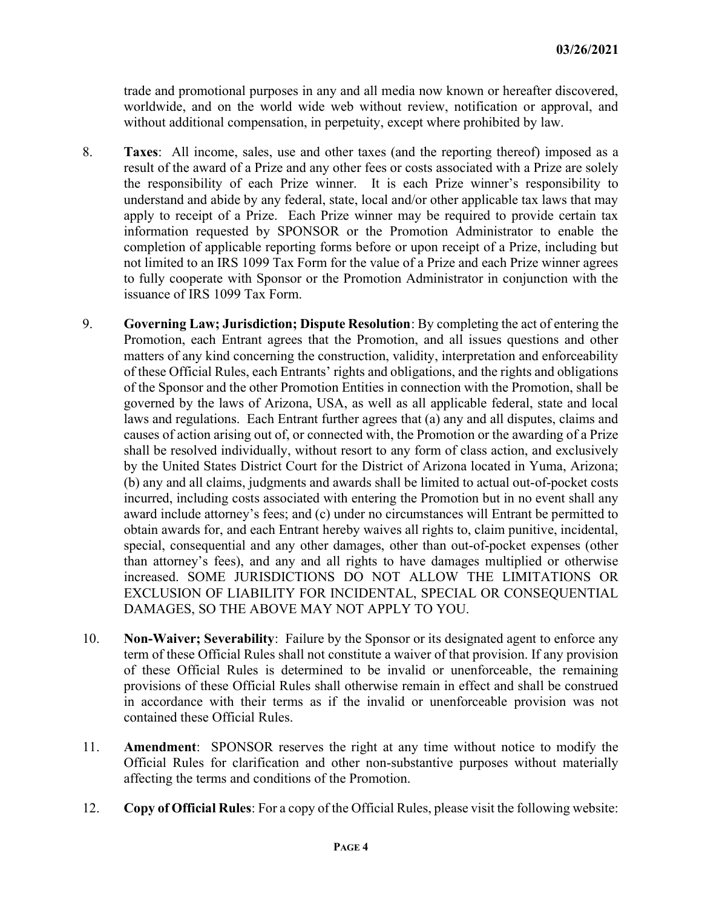trade and promotional purposes in any and all media now known or hereafter discovered, worldwide, and on the world wide web without review, notification or approval, and without additional compensation, in perpetuity, except where prohibited by law.

- 8. Taxes: All income, sales, use and other taxes (and the reporting thereof) imposed as a result of the award of a Prize and any other fees or costs associated with a Prize are solely the responsibility of each Prize winner. It is each Prize winner's responsibility to understand and abide by any federal, state, local and/or other applicable tax laws that may apply to receipt of a Prize. Each Prize winner may be required to provide certain tax information requested by SPONSOR or the Promotion Administrator to enable the completion of applicable reporting forms before or upon receipt of a Prize, including but not limited to an IRS 1099 Tax Form for the value of a Prize and each Prize winner agrees to fully cooperate with Sponsor or the Promotion Administrator in conjunction with the issuance of IRS 1099 Tax Form.
- 9. Governing Law; Jurisdiction; Dispute Resolution: By completing the act of entering the Promotion, each Entrant agrees that the Promotion, and all issues questions and other matters of any kind concerning the construction, validity, interpretation and enforceability of these Official Rules, each Entrants' rights and obligations, and the rights and obligations of the Sponsor and the other Promotion Entities in connection with the Promotion, shall be governed by the laws of Arizona, USA, as well as all applicable federal, state and local laws and regulations. Each Entrant further agrees that (a) any and all disputes, claims and causes of action arising out of, or connected with, the Promotion or the awarding of a Prize shall be resolved individually, without resort to any form of class action, and exclusively by the United States District Court for the District of Arizona located in Yuma, Arizona; (b) any and all claims, judgments and awards shall be limited to actual out-of-pocket costs incurred, including costs associated with entering the Promotion but in no event shall any award include attorney's fees; and (c) under no circumstances will Entrant be permitted to obtain awards for, and each Entrant hereby waives all rights to, claim punitive, incidental, special, consequential and any other damages, other than out-of-pocket expenses (other than attorney's fees), and any and all rights to have damages multiplied or otherwise increased. SOME JURISDICTIONS DO NOT ALLOW THE LIMITATIONS OR EXCLUSION OF LIABILITY FOR INCIDENTAL, SPECIAL OR CONSEQUENTIAL DAMAGES, SO THE ABOVE MAY NOT APPLY TO YOU.
- 10. Non-Waiver; Severability: Failure by the Sponsor or its designated agent to enforce any term of these Official Rules shall not constitute a waiver of that provision. If any provision of these Official Rules is determined to be invalid or unenforceable, the remaining provisions of these Official Rules shall otherwise remain in effect and shall be construed in accordance with their terms as if the invalid or unenforceable provision was not contained these Official Rules.
- 11. Amendment: SPONSOR reserves the right at any time without notice to modify the Official Rules for clarification and other non-substantive purposes without materially affecting the terms and conditions of the Promotion.
- 12. Copy of Official Rules: For a copy of the Official Rules, please visit the following website: